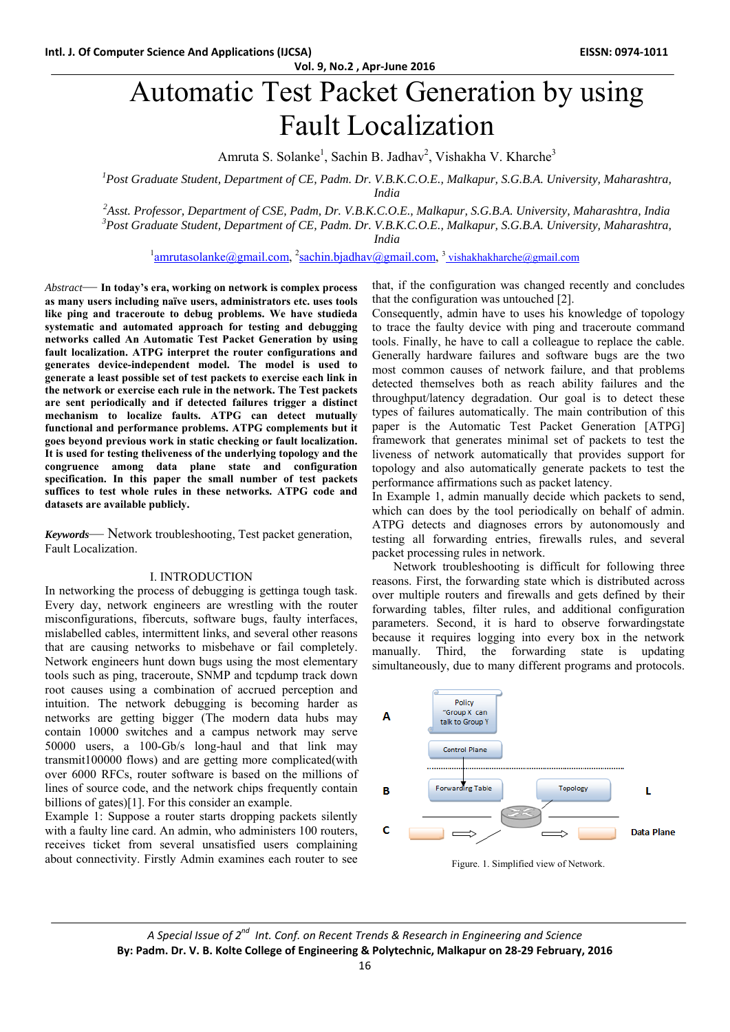# Automatic Test Packet Generation by using Fault Localization

Amruta S. Solanke<sup>1</sup>, Sachin B. Jadhav<sup>2</sup>, Vishakha V. Kharche<sup>3</sup>

<sup>1</sup> Post Graduate Student, Department of CE, Padm. Dr. V.B.K.C.O.E., Malkapur, S.G.B.A. University, Maharashtra,

*India* 

 *2Asst. Professor, Department of CSE, Padm, Dr. V.B.K.C.O.E., Malkapur, S.G.B.A. University, Maharashtra, India 3 Post Graduate Student, Department of CE, Padm. Dr. V.B.K.C.O.E., Malkapur, S.G.B.A. University, Maharashtra,* 

*India* 

<sup>1</sup>amrutasolanke@gmail.com, <sup>2</sup>sachin.bjadhav@gmail.com, <sup>3</sup>vishakhakharche@gmail.com

*Abstract*— **In today's era, working on network is complex process as many users including naïve users, administrators etc. uses tools like ping and traceroute to debug problems. We have studieda systematic and automated approach for testing and debugging networks called An Automatic Test Packet Generation by using fault localization. ATPG interpret the router configurations and generates device-independent model. The model is used to generate a least possible set of test packets to exercise each link in the network or exercise each rule in the network. The Test packets are sent periodically and if detected failures trigger a distinct mechanism to localize faults. ATPG can detect mutually functional and performance problems. ATPG complements but it goes beyond previous work in static checking or fault localization. It is used for testing theliveness of the underlying topology and the congruence among data plane state and configuration specification. In this paper the small number of test packets suffices to test whole rules in these networks. ATPG code and datasets are available publicly.** 

*Keywords*— Network troubleshooting, Test packet generation, Fault Localization.

#### I. INTRODUCTION

In networking the process of debugging is gettinga tough task. Every day, network engineers are wrestling with the router misconfigurations, fibercuts, software bugs, faulty interfaces, mislabelled cables, intermittent links, and several other reasons that are causing networks to misbehave or fail completely. Network engineers hunt down bugs using the most elementary tools such as ping, traceroute, SNMP and tcpdump track down root causes using a combination of accrued perception and intuition. The network debugging is becoming harder as networks are getting bigger (The modern data hubs may contain 10000 switches and a campus network may serve 50000 users, a 100-Gb/s long-haul and that link may transmit100000 flows) and are getting more complicated(with over 6000 RFCs, router software is based on the millions of lines of source code, and the network chips frequently contain billions of gates)[1]. For this consider an example.

Example 1: Suppose a router starts dropping packets silently with a faulty line card. An admin, who administers 100 routers, receives ticket from several unsatisfied users complaining about connectivity. Firstly Admin examines each router to see that, if the configuration was changed recently and concludes that the configuration was untouched [2].

Consequently, admin have to uses his knowledge of topology to trace the faulty device with ping and traceroute command tools. Finally, he have to call a colleague to replace the cable. Generally hardware failures and software bugs are the two most common causes of network failure, and that problems detected themselves both as reach ability failures and the throughput/latency degradation. Our goal is to detect these types of failures automatically. The main contribution of this paper is the Automatic Test Packet Generation [ATPG] framework that generates minimal set of packets to test the liveness of network automatically that provides support for topology and also automatically generate packets to test the performance affirmations such as packet latency.

In Example 1, admin manually decide which packets to send, which can does by the tool periodically on behalf of admin. ATPG detects and diagnoses errors by autonomously and testing all forwarding entries, firewalls rules, and several packet processing rules in network.

 Network troubleshooting is difficult for following three reasons. First, the forwarding state which is distributed across over multiple routers and firewalls and gets defined by their forwarding tables, filter rules, and additional configuration parameters. Second, it is hard to observe forwardingstate because it requires logging into every box in the network manually. Third, the forwarding state is updating simultaneously, due to many different programs and protocols.



Figure. 1. Simplified view of Network.

*A Special Issue of 2nd Int. Conf. on Recent Trends & Research in Engineering and Science* **By: Padm. Dr. V. B. Kolte College of Engineering & Polytechnic, Malkapur on 28‐29 February, 2016**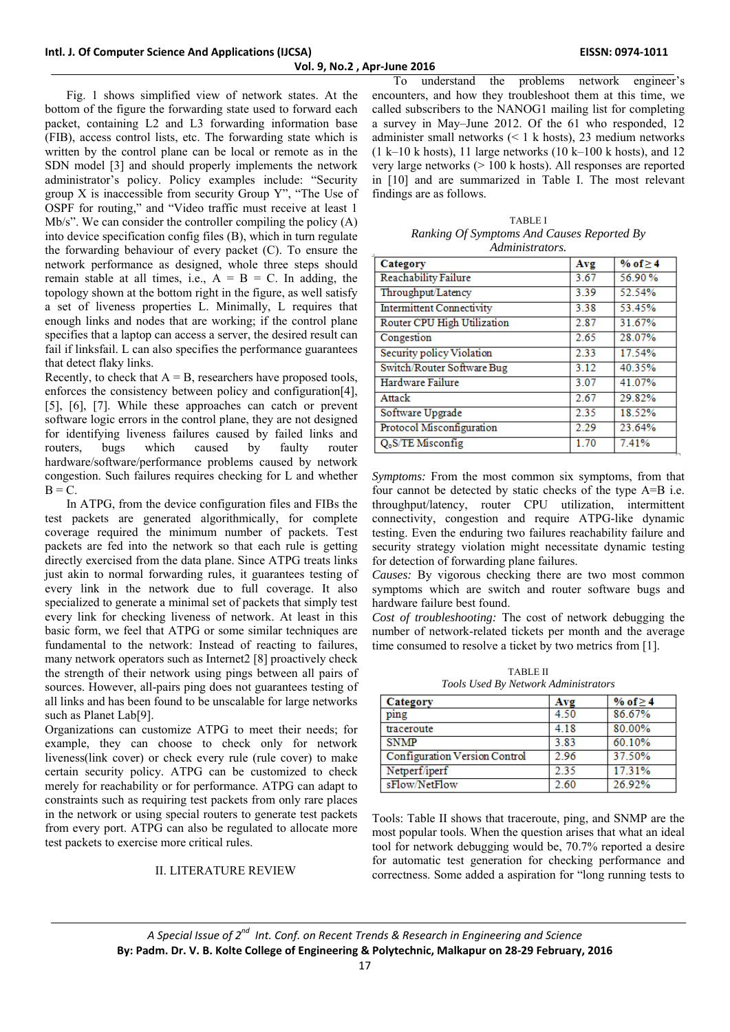Fig. 1 shows simplified view of network states. At the bottom of the figure the forwarding state used to forward each packet, containing L2 and L3 forwarding information base (FIB), access control lists, etc. The forwarding state which is written by the control plane can be local or remote as in the SDN model [3] and should properly implements the network administrator's policy. Policy examples include: "Security group X is inaccessible from security Group Y", "The Use of OSPF for routing," and "Video traffic must receive at least 1 Mb/s". We can consider the controller compiling the policy (A) into device specification config files (B), which in turn regulate the forwarding behaviour of every packet (C). To ensure the network performance as designed, whole three steps should remain stable at all times, i.e.,  $A = B = C$ . In adding, the topology shown at the bottom right in the figure, as well satisfy a set of liveness properties L. Minimally, L requires that enough links and nodes that are working; if the control plane specifies that a laptop can access a server, the desired result can fail if linksfail. L can also specifies the performance guarantees that detect flaky links.

Recently, to check that  $A = B$ , researchers have proposed tools, enforces the consistency between policy and configuration[4], [5], [6], [7]. While these approaches can catch or prevent software logic errors in the control plane, they are not designed for identifying liveness failures caused by failed links and routers, bugs which caused by faulty router hardware/software/performance problems caused by network congestion. Such failures requires checking for L and whether  $B = C$ .

 In ATPG, from the device configuration files and FIBs the test packets are generated algorithmically, for complete coverage required the minimum number of packets. Test packets are fed into the network so that each rule is getting directly exercised from the data plane. Since ATPG treats links just akin to normal forwarding rules, it guarantees testing of every link in the network due to full coverage. It also specialized to generate a minimal set of packets that simply test every link for checking liveness of network. At least in this basic form, we feel that ATPG or some similar techniques are fundamental to the network: Instead of reacting to failures, many network operators such as Internet2 [8] proactively check the strength of their network using pings between all pairs of sources. However, all-pairs ping does not guarantees testing of all links and has been found to be unscalable for large networks such as Planet Lab[9].

Organizations can customize ATPG to meet their needs; for example, they can choose to check only for network liveness(link cover) or check every rule (rule cover) to make certain security policy. ATPG can be customized to check merely for reachability or for performance. ATPG can adapt to constraints such as requiring test packets from only rare places in the network or using special routers to generate test packets from every port. ATPG can also be regulated to allocate more test packets to exercise more critical rules.

## II. LITERATURE REVIEW

 To understand the problems network engineer's encounters, and how they troubleshoot them at this time, we called subscribers to the NANOG1 mailing list for completing a survey in May–June 2012. Of the 61 who responded, 12 administer small networks  $(< 1 \text{ k hosts})$ , 23 medium networks  $(1 k-10 k$  hosts), 11 large networks  $(10 k-100 k$  hosts), and 12 very large networks (> 100 k hosts). All responses are reported in [10] and are summarized in Table I. The most relevant findings are as follows.

| <b>TABLE I</b>                             |
|--------------------------------------------|
| Ranking Of Symptoms And Causes Reported By |
| Administrators.                            |

| Category                         | Avg  | % of $\geq 4$ |
|----------------------------------|------|---------------|
| <b>Reachability Failure</b>      | 3.67 | 56.90%        |
| Throughput/Latency               | 3.39 | 52.54%        |
| <b>Intermittent Connectivity</b> | 3.38 | 53.45%        |
| Router CPU High Utilization      | 2.87 | 31.67%        |
| Congestion                       | 2.65 | 28.07%        |
| Security policy Violation        | 2.33 | 17.54%        |
| Switch/Router Software Bug       | 3.12 | 40.35%        |
| Hardware Failure                 | 3.07 | 41.07%        |
| Attack                           | 2.67 | 29.82%        |
| Software Upgrade                 | 2.35 | 18.52%        |
| Protocol Misconfiguration        | 2.29 | 23.64%        |
| $O0S/TE$ Misconfig               | 1.70 | 7.41%         |

*Symptoms:* From the most common six symptoms, from that four cannot be detected by static checks of the type A=B i.e. throughput/latency, router CPU utilization, intermittent connectivity, congestion and require ATPG-like dynamic testing. Even the enduring two failures reachability failure and security strategy violation might necessitate dynamic testing for detection of forwarding plane failures.

*Causes:* By vigorous checking there are two most common symptoms which are switch and router software bugs and hardware failure best found.

*Cost of troubleshooting:* The cost of network debugging the number of network-related tickets per month and the average time consumed to resolve a ticket by two metrics from [1].

TABLE II *Tools Used By Network Administrators* 

| Category                             | Avg  | % of $\geq 4$ |
|--------------------------------------|------|---------------|
| ping                                 | 4.50 | 86.67%        |
| traceroute                           | 4.18 | 80.00%        |
| <b>SNMP</b>                          | 3.83 | 60.10%        |
| <b>Configuration Version Control</b> | 2.96 | 37.50%        |
| Netperf/iperf                        | 2.35 | 17.31%        |
| sFlow/NetFlow                        | 2.60 | 26.92%        |

Tools: Table II shows that traceroute, ping, and SNMP are the most popular tools. When the question arises that what an ideal tool for network debugging would be, 70.7% reported a desire for automatic test generation for checking performance and correctness. Some added a aspiration for "long running tests to

*A Special Issue of 2nd Int. Conf. on Recent Trends & Research in Engineering and Science* **By: Padm. Dr. V. B. Kolte College of Engineering & Polytechnic, Malkapur on 28‐29 February, 2016**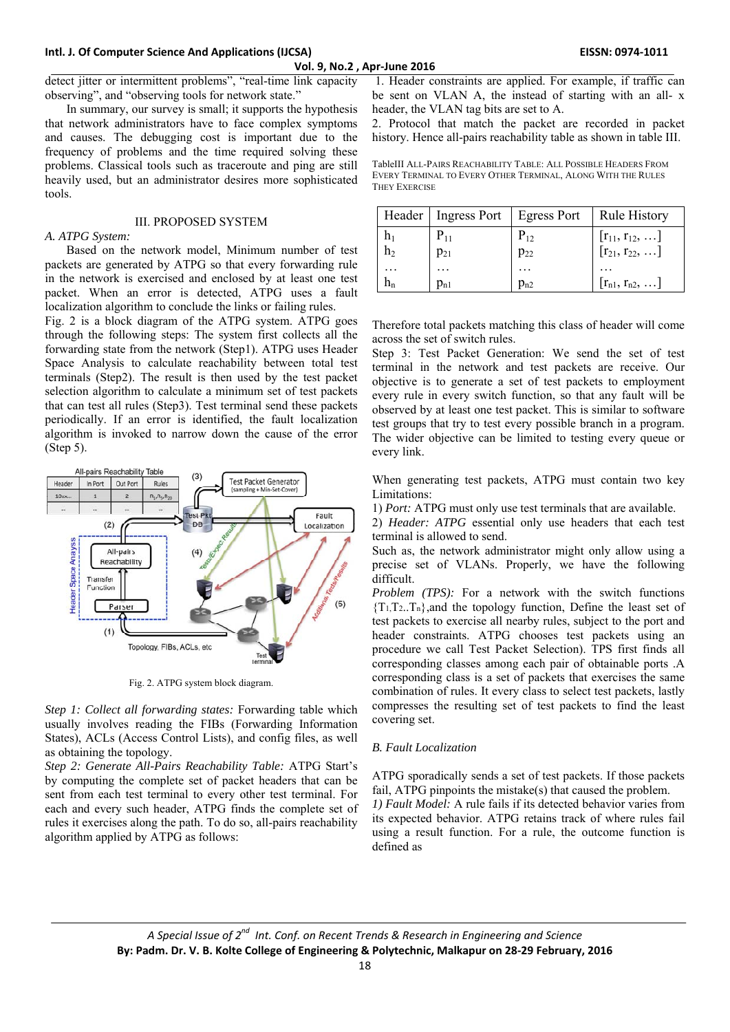#### **Intl. J. Of Computer Science And Applications (IJCSA) EISSN: 0974‐1011**

**Vol. 9, No.2 , Apr‐June 2016**

detect jitter or intermittent problems", "real-time link capacity observing", and "observing tools for network state."

 In summary, our survey is small; it supports the hypothesis that network administrators have to face complex symptoms and causes. The debugging cost is important due to the frequency of problems and the time required solving these problems. Classical tools such as traceroute and ping are still heavily used, but an administrator desires more sophisticated tools.

## III. PROPOSED SYSTEM

#### *A. ATPG System:*

 Based on the network model, Minimum number of test packets are generated by ATPG so that every forwarding rule in the network is exercised and enclosed by at least one test packet. When an error is detected, ATPG uses a fault localization algorithm to conclude the links or failing rules.

Fig. 2 is a block diagram of the ATPG system. ATPG goes through the following steps: The system first collects all the forwarding state from the network (Step1). ATPG uses Header Space Analysis to calculate reachability between total test terminals (Step2). The result is then used by the test packet selection algorithm to calculate a minimum set of test packets that can test all rules (Step3). Test terminal send these packets periodically. If an error is identified, the fault localization algorithm is invoked to narrow down the cause of the error (Step 5).



Fig. 2. ATPG system block diagram.

*Step 1: Collect all forwarding states:* Forwarding table which usually involves reading the FIBs (Forwarding Information States), ACLs (Access Control Lists), and config files, as well as obtaining the topology.

*Step 2: Generate All-Pairs Reachability Table:* ATPG Start's by computing the complete set of packet headers that can be sent from each test terminal to every other test terminal. For each and every such header, ATPG finds the complete set of rules it exercises along the path. To do so, all-pairs reachability algorithm applied by ATPG as follows:

 1. Header constraints are applied. For example, if traffic can be sent on VLAN A, the instead of starting with an all- x header, the VLAN tag bits are set to A.

2. Protocol that match the packet are recorded in packet history. Hence all-pairs reachability table as shown in table III.

TableIII ALL-PAIRS REACHABILITY TABLE: ALL POSSIBLE HEADERS FROM EVERY TERMINAL TO EVERY OTHER TERMINAL, ALONG WITH THE RULES THEY EXERCISE

| Header         | Ingress Port   Egress Port |          | <b>Rule History</b>                          |
|----------------|----------------------------|----------|----------------------------------------------|
|                | $P_{11}$                   | $P_{12}$ | $[r_{11}, r_{12}, ]$<br>$[r_{21}, r_{22}, ]$ |
| h <sub>2</sub> | $p_{21}$                   | $p_{22}$ |                                              |
|                | .                          | .        |                                              |
|                | $p_{n1}$                   | $p_{n2}$ | $[r_{n1}, r_{n2}, \ldots]$                   |

Therefore total packets matching this class of header will come across the set of switch rules.

Step 3: Test Packet Generation: We send the set of test terminal in the network and test packets are receive. Our objective is to generate a set of test packets to employment every rule in every switch function, so that any fault will be observed by at least one test packet. This is similar to software test groups that try to test every possible branch in a program. The wider objective can be limited to testing every queue or every link.

When generating test packets, ATPG must contain two key Limitations:

1) *Port:* ATPG must only use test terminals that are available.

2) *Header: ATPG* essential only use headers that each test terminal is allowed to send.

Such as, the network administrator might only allow using a precise set of VLANs. Properly, we have the following difficult.

*Problem (TPS):* For a network with the switch functions  ${T_1, T_2, T_n}$ , and the topology function, Define the least set of test packets to exercise all nearby rules, subject to the port and header constraints. ATPG chooses test packets using an procedure we call Test Packet Selection). TPS first finds all corresponding classes among each pair of obtainable ports .A corresponding class is a set of packets that exercises the same combination of rules. It every class to select test packets, lastly compresses the resulting set of test packets to find the least covering set.

# *B. Fault Localization*

ATPG sporadically sends a set of test packets. If those packets fail, ATPG pinpoints the mistake(s) that caused the problem. *1) Fault Model:* A rule fails if its detected behavior varies from its expected behavior. ATPG retains track of where rules fail using a result function. For a rule, the outcome function is defined as